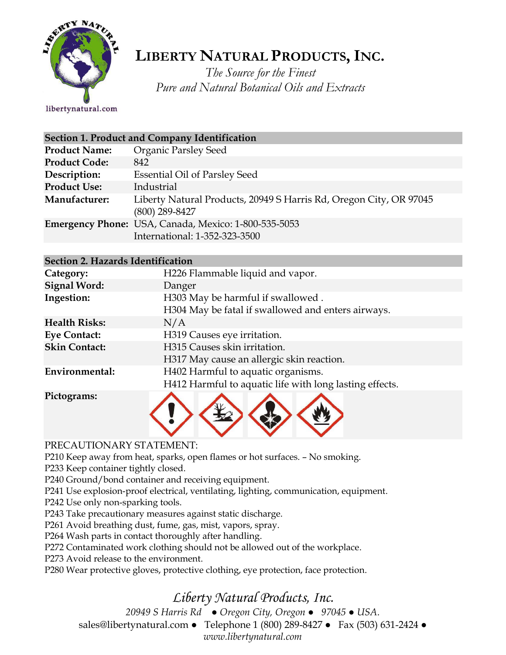

# **LIBERTY NATURAL PRODUCTS,INC.**

*The Source for the Finest Pure and Natural Botanical Oils and Extracts*

libertynatural.com

| Section 1. Product and Company Identification |                                                                                        |  |  |
|-----------------------------------------------|----------------------------------------------------------------------------------------|--|--|
| <b>Product Name:</b>                          | <b>Organic Parsley Seed</b>                                                            |  |  |
| <b>Product Code:</b>                          | 842                                                                                    |  |  |
| Description:                                  | <b>Essential Oil of Parsley Seed</b>                                                   |  |  |
| <b>Product Use:</b>                           | Industrial                                                                             |  |  |
| Manufacturer:                                 | Liberty Natural Products, 20949 S Harris Rd, Oregon City, OR 97045<br>$(800)$ 289-8427 |  |  |
|                                               | Emergency Phone: USA, Canada, Mexico: 1-800-535-5053<br>International: 1-352-323-3500  |  |  |

| Section 2. Hazards Identification |                                                         |  |  |  |
|-----------------------------------|---------------------------------------------------------|--|--|--|
| Category:                         | H226 Flammable liquid and vapor.                        |  |  |  |
| <b>Signal Word:</b>               | Danger                                                  |  |  |  |
| Ingestion:                        | H303 May be harmful if swallowed.                       |  |  |  |
|                                   | H304 May be fatal if swallowed and enters airways.      |  |  |  |
| <b>Health Risks:</b>              | N/A                                                     |  |  |  |
| <b>Eye Contact:</b>               | H319 Causes eye irritation.                             |  |  |  |
| <b>Skin Contact:</b>              | H315 Causes skin irritation.                            |  |  |  |
|                                   | H317 May cause an allergic skin reaction.               |  |  |  |
| Environmental:                    | H402 Harmful to aquatic organisms.                      |  |  |  |
|                                   | H412 Harmful to aquatic life with long lasting effects. |  |  |  |
| Pictograms:                       |                                                         |  |  |  |



### PRECAUTIONARY STATEMENT:

P210 Keep away from heat, sparks, open flames or hot surfaces. – No smoking.

P233 Keep container tightly closed.

P240 Ground/bond container and receiving equipment.

P241 Use explosion-proof electrical, ventilating, lighting, communication, equipment.

P242 Use only non-sparking tools.

P243 Take precautionary measures against static discharge.

P261 Avoid breathing dust, fume, gas, mist, vapors, spray.

P264 Wash parts in contact thoroughly after handling.

P272 Contaminated work clothing should not be allowed out of the workplace.

P273 Avoid release to the environment.

P280 Wear protective gloves, protective clothing, eye protection, face protection.

## *Liberty Natural Products, Inc.*

*20949 S Harris Rd ● Oregon City, Oregon ● 97045 ● USA.*  sales@libertynatural.com *●* Telephone 1 (800) 289-8427 ● Fax (503) 631-2424 *● www.libertynatural.com*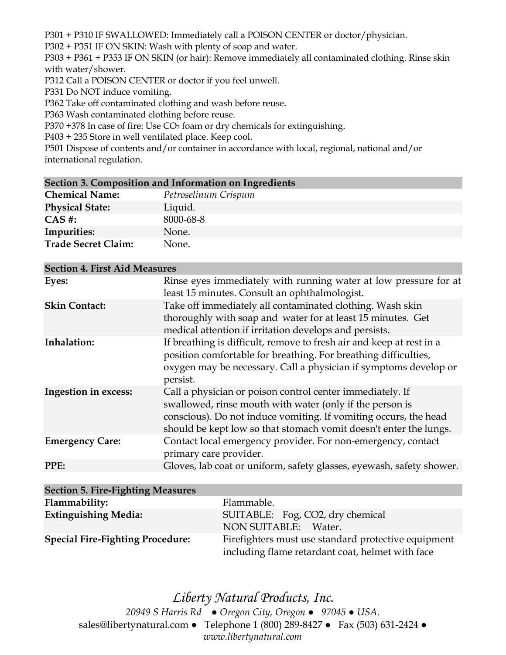P301 + P310 IF SWALLOWED: Immediately call a POISON CENTER or doctor/physician.

P302 + P351 IF ON SKIN: Wash with plenty of soap and water.

P303 + P361 + P353 IF ON SKIN (or hair): Remove immediately all contaminated clothing. Rinse skin with water/shower.

P312 Call a POISON CENTER or doctor if you feel unwell.

P331 Do NOT induce vomiting.

P362 Take off contaminated clothing and wash before reuse.

P363 Wash contaminated clothing before reuse.

P370 +378 In case of fire: Use  $CO<sub>2</sub>$  foam or dry chemicals for extinguishing.

P403 + 235 Store in well ventilated place. Keep cool.

P501 Dispose of contents and/or container in accordance with local, regional, national and/or international regulation.

|                             | Section 3. Composition and Information on Ingredients |  |  |  |
|-----------------------------|-------------------------------------------------------|--|--|--|
| $\sim$ $\sim$ $\sim$ $\sim$ |                                                       |  |  |  |

| <b>Chemical Name:</b>      | Petroselinum Crispum |
|----------------------------|----------------------|
| <b>Physical State:</b>     | Liquid.              |
| $CAS$ #:                   | 8000-68-8            |
| Impurities:                | None.                |
| <b>Trade Secret Claim:</b> | None.                |

| <b>Section 4. First Aid Measures</b> |                                                                                                                                                                                                                                                                |
|--------------------------------------|----------------------------------------------------------------------------------------------------------------------------------------------------------------------------------------------------------------------------------------------------------------|
| Eyes:                                | Rinse eyes immediately with running water at low pressure for at<br>least 15 minutes. Consult an ophthalmologist.                                                                                                                                              |
| <b>Skin Contact:</b>                 | Take off immediately all contaminated clothing. Wash skin<br>thoroughly with soap and water for at least 15 minutes. Get<br>medical attention if irritation develops and persists.                                                                             |
| Inhalation:                          | If breathing is difficult, remove to fresh air and keep at rest in a<br>position comfortable for breathing. For breathing difficulties,<br>oxygen may be necessary. Call a physician if symptoms develop or<br>persist.                                        |
| Ingestion in excess:                 | Call a physician or poison control center immediately. If<br>swallowed, rinse mouth with water (only if the person is<br>conscious). Do not induce vomiting. If vomiting occurs, the head<br>should be kept low so that stomach vomit doesn't enter the lungs. |
| <b>Emergency Care:</b>               | Contact local emergency provider. For non-emergency, contact<br>primary care provider.                                                                                                                                                                         |
| PPE:                                 | Gloves, lab coat or uniform, safety glasses, eyewash, safety shower.                                                                                                                                                                                           |

| <b>Section 5. Fire-Fighting Measures</b> |                                                                                                         |
|------------------------------------------|---------------------------------------------------------------------------------------------------------|
| Flammability:                            | Flammable.                                                                                              |
| <b>Extinguishing Media:</b>              | SUITABLE: Fog, CO2, dry chemical<br>NON SUITABLE: Water.                                                |
| <b>Special Fire-Fighting Procedure:</b>  | Firefighters must use standard protective equipment<br>including flame retardant coat, helmet with face |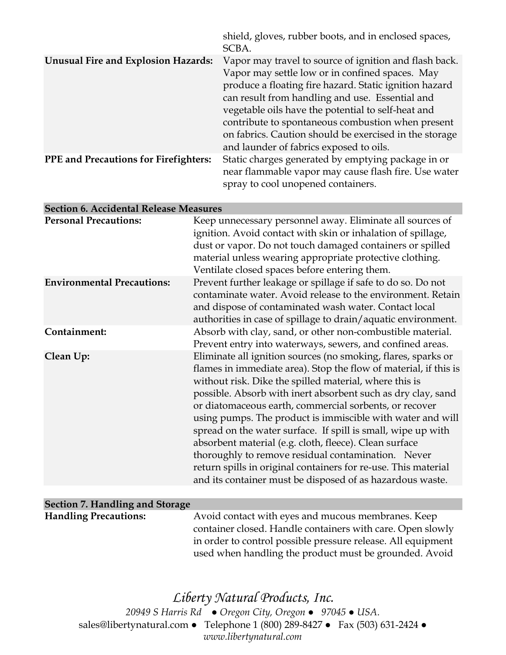|                                            | shield, gloves, rubber boots, and in enclosed spaces,<br>SCBA.                                                                                                                                                                                                                                                                                                                                                                         |
|--------------------------------------------|----------------------------------------------------------------------------------------------------------------------------------------------------------------------------------------------------------------------------------------------------------------------------------------------------------------------------------------------------------------------------------------------------------------------------------------|
| <b>Unusual Fire and Explosion Hazards:</b> | Vapor may travel to source of ignition and flash back.<br>Vapor may settle low or in confined spaces. May<br>produce a floating fire hazard. Static ignition hazard<br>can result from handling and use. Essential and<br>vegetable oils have the potential to self-heat and<br>contribute to spontaneous combustion when present<br>on fabrics. Caution should be exercised in the storage<br>and launder of fabrics exposed to oils. |
| PPE and Precautions for Firefighters:      | Static charges generated by emptying package in or<br>near flammable vapor may cause flash fire. Use water<br>spray to cool unopened containers.                                                                                                                                                                                                                                                                                       |

| <b>Section 6. Accidental Release Measures</b> |                                                                                                                                                                                                                                                                                                                                                                                                                                                                                                                                                                                                                                                                                                    |
|-----------------------------------------------|----------------------------------------------------------------------------------------------------------------------------------------------------------------------------------------------------------------------------------------------------------------------------------------------------------------------------------------------------------------------------------------------------------------------------------------------------------------------------------------------------------------------------------------------------------------------------------------------------------------------------------------------------------------------------------------------------|
| <b>Personal Precautions:</b>                  | Keep unnecessary personnel away. Eliminate all sources of<br>ignition. Avoid contact with skin or inhalation of spillage,<br>dust or vapor. Do not touch damaged containers or spilled<br>material unless wearing appropriate protective clothing.<br>Ventilate closed spaces before entering them.                                                                                                                                                                                                                                                                                                                                                                                                |
| <b>Environmental Precautions:</b>             | Prevent further leakage or spillage if safe to do so. Do not<br>contaminate water. Avoid release to the environment. Retain<br>and dispose of contaminated wash water. Contact local<br>authorities in case of spillage to drain/aquatic environment.                                                                                                                                                                                                                                                                                                                                                                                                                                              |
| Containment:                                  | Absorb with clay, sand, or other non-combustible material.<br>Prevent entry into waterways, sewers, and confined areas.                                                                                                                                                                                                                                                                                                                                                                                                                                                                                                                                                                            |
| Clean Up:                                     | Eliminate all ignition sources (no smoking, flares, sparks or<br>flames in immediate area). Stop the flow of material, if this is<br>without risk. Dike the spilled material, where this is<br>possible. Absorb with inert absorbent such as dry clay, sand<br>or diatomaceous earth, commercial sorbents, or recover<br>using pumps. The product is immiscible with water and will<br>spread on the water surface. If spill is small, wipe up with<br>absorbent material (e.g. cloth, fleece). Clean surface<br>thoroughly to remove residual contamination. Never<br>return spills in original containers for re-use. This material<br>and its container must be disposed of as hazardous waste. |
| Section 7. Handling and Storage               |                                                                                                                                                                                                                                                                                                                                                                                                                                                                                                                                                                                                                                                                                                    |
|                                               |                                                                                                                                                                                                                                                                                                                                                                                                                                                                                                                                                                                                                                                                                                    |

## **Handling Precautions:** Avoid contact with eyes and mucous membranes. Keep container closed. Handle containers with care. Open slowly in order to control possible pressure release. All equipment used when handling the product must be grounded. Avoid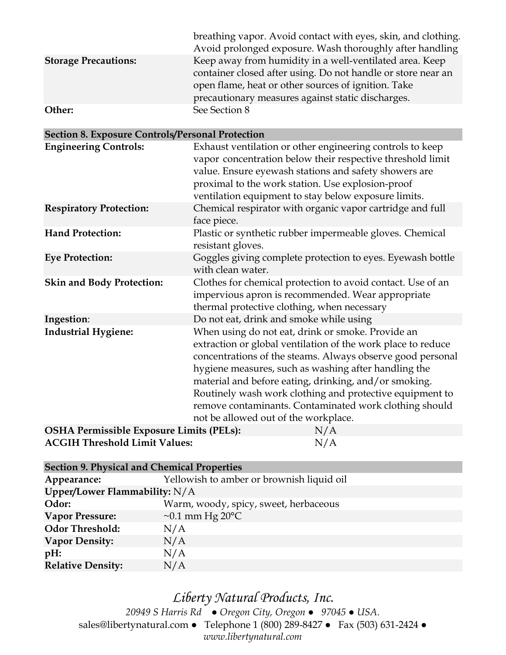|                             | breathing vapor. Avoid contact with eyes, skin, and clothing. |
|-----------------------------|---------------------------------------------------------------|
|                             | Avoid prolonged exposure. Wash thoroughly after handling      |
| <b>Storage Precautions:</b> | Keep away from humidity in a well-ventilated area. Keep       |
|                             | container closed after using. Do not handle or store near an  |
|                             | open flame, heat or other sources of ignition. Take           |
|                             | precautionary measures against static discharges.             |
| Other:                      | See Section 8                                                 |

| <b>Section 8. Exposure Controls/Personal Protection</b> |                                                                                                                                                                                                                                                                                                                                                                                                                                                                |  |  |  |
|---------------------------------------------------------|----------------------------------------------------------------------------------------------------------------------------------------------------------------------------------------------------------------------------------------------------------------------------------------------------------------------------------------------------------------------------------------------------------------------------------------------------------------|--|--|--|
| <b>Engineering Controls:</b>                            | Exhaust ventilation or other engineering controls to keep<br>vapor concentration below their respective threshold limit<br>value. Ensure eyewash stations and safety showers are<br>proximal to the work station. Use explosion-proof<br>ventilation equipment to stay below exposure limits.                                                                                                                                                                  |  |  |  |
| <b>Respiratory Protection:</b>                          | Chemical respirator with organic vapor cartridge and full<br>face piece.                                                                                                                                                                                                                                                                                                                                                                                       |  |  |  |
| <b>Hand Protection:</b>                                 | Plastic or synthetic rubber impermeable gloves. Chemical<br>resistant gloves.                                                                                                                                                                                                                                                                                                                                                                                  |  |  |  |
| <b>Eye Protection:</b>                                  | Goggles giving complete protection to eyes. Eyewash bottle<br>with clean water.                                                                                                                                                                                                                                                                                                                                                                                |  |  |  |
| <b>Skin and Body Protection:</b>                        | Clothes for chemical protection to avoid contact. Use of an<br>impervious apron is recommended. Wear appropriate<br>thermal protective clothing, when necessary                                                                                                                                                                                                                                                                                                |  |  |  |
| Ingestion:                                              | Do not eat, drink and smoke while using                                                                                                                                                                                                                                                                                                                                                                                                                        |  |  |  |
| <b>Industrial Hygiene:</b>                              | When using do not eat, drink or smoke. Provide an<br>extraction or global ventilation of the work place to reduce<br>concentrations of the steams. Always observe good personal<br>hygiene measures, such as washing after handling the<br>material and before eating, drinking, and/or smoking.<br>Routinely wash work clothing and protective equipment to<br>remove contaminants. Contaminated work clothing should<br>not be allowed out of the workplace. |  |  |  |
| <b>OSHA Permissible Exposure Limits (PELs):</b>         | N/A                                                                                                                                                                                                                                                                                                                                                                                                                                                            |  |  |  |

| OSTIA I EHIISSIDIE EXPOSULE LIHIUS (I ELS). | $1$ $\sqrt{2}$ |
|---------------------------------------------|----------------|
| <b>ACGIH Threshold Limit Values:</b>        | N/A            |

| <b>Section 9. Physical and Chemical Properties</b> |                                           |  |  |  |
|----------------------------------------------------|-------------------------------------------|--|--|--|
| Appearance:                                        | Yellowish to amber or brownish liquid oil |  |  |  |
| Upper/Lower Flammability: $N/A$                    |                                           |  |  |  |
| Odor:                                              | Warm, woody, spicy, sweet, herbaceous     |  |  |  |
| <b>Vapor Pressure:</b>                             | $\sim$ 0.1 mm Hg 20 $\degree$ C           |  |  |  |
| <b>Odor Threshold:</b>                             | N/A                                       |  |  |  |
| <b>Vapor Density:</b>                              | N/A                                       |  |  |  |
| $pH$ :                                             | N/A                                       |  |  |  |
| <b>Relative Density:</b>                           | N/A                                       |  |  |  |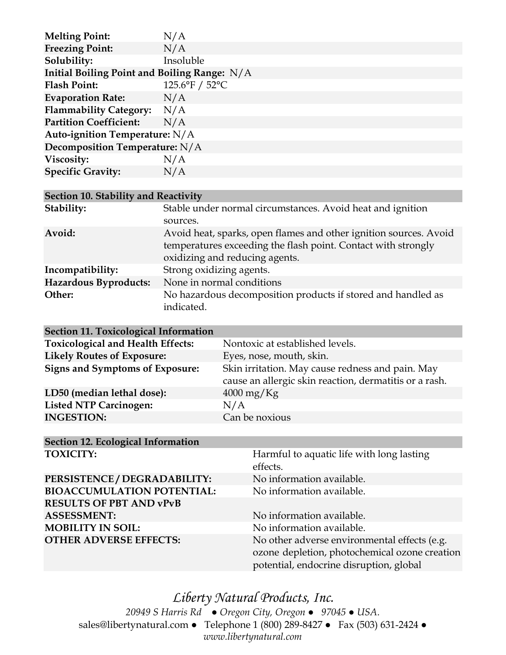| <b>Melting Point:</b>                          | N/A            |  |
|------------------------------------------------|----------------|--|
| <b>Freezing Point:</b>                         | N/A            |  |
| Solubility:                                    | Insoluble      |  |
| Initial Boiling Point and Boiling Range: $N/A$ |                |  |
| <b>Flash Point:</b>                            | 125.6°F / 52°C |  |
| <b>Evaporation Rate:</b>                       | N/A            |  |
| Flammability Category: N/A                     |                |  |
| <b>Partition Coefficient:</b>                  | N/A            |  |
| Auto-ignition Temperature: N/A                 |                |  |
| Decomposition Temperature: N/A                 |                |  |
| Viscosity:                                     | N/A            |  |
| <b>Specific Gravity:</b>                       | N/A            |  |
|                                                |                |  |

#### **Section 10. Stability and Reactivity**

| Stability:            | Stable under normal circumstances. Avoid heat and ignition                                                                                                           |  |
|-----------------------|----------------------------------------------------------------------------------------------------------------------------------------------------------------------|--|
|                       | sources.                                                                                                                                                             |  |
| Avoid:                | Avoid heat, sparks, open flames and other ignition sources. Avoid<br>temperatures exceeding the flash point. Contact with strongly<br>oxidizing and reducing agents. |  |
| Incompatibility:      | Strong oxidizing agents.                                                                                                                                             |  |
| Hazardous Byproducts: | None in normal conditions                                                                                                                                            |  |
| Other:                | No hazardous decomposition products if stored and handled as<br>indicated.                                                                                           |  |

| <b>Section 11. Toxicological Information</b> |                                                                                                            |  |
|----------------------------------------------|------------------------------------------------------------------------------------------------------------|--|
| <b>Toxicological and Health Effects:</b>     | Nontoxic at established levels.                                                                            |  |
| <b>Likely Routes of Exposure:</b>            | Eyes, nose, mouth, skin.                                                                                   |  |
| <b>Signs and Symptoms of Exposure:</b>       | Skin irritation. May cause redness and pain. May<br>cause an allergic skin reaction, dermatitis or a rash. |  |
| LD50 (median lethal dose):                   | $4000 \,\mathrm{mg/Kg}$                                                                                    |  |
| <b>Listed NTP Carcinogen:</b>                | N/A                                                                                                        |  |
| <b>INGESTION:</b>                            | Can be noxious                                                                                             |  |
|                                              |                                                                                                            |  |

#### **Section 12. Ecological Information TOXICITY: Harmful to aquatic life with long lasting**

|                                   | effects.                                      |  |
|-----------------------------------|-----------------------------------------------|--|
| PERSISTENCE / DEGRADABILITY:      | No information available.                     |  |
| <b>BIOACCUMULATION POTENTIAL:</b> | No information available.                     |  |
| <b>RESULTS OF PBT AND vPvB</b>    |                                               |  |
| <b>ASSESSMENT:</b>                | No information available.                     |  |
| <b>MOBILITY IN SOIL:</b>          | No information available.                     |  |
| <b>OTHER ADVERSE EFFECTS:</b>     | No other adverse environmental effects (e.g.  |  |
|                                   | ozone depletion, photochemical ozone creation |  |
|                                   | potential, endocrine disruption, global       |  |